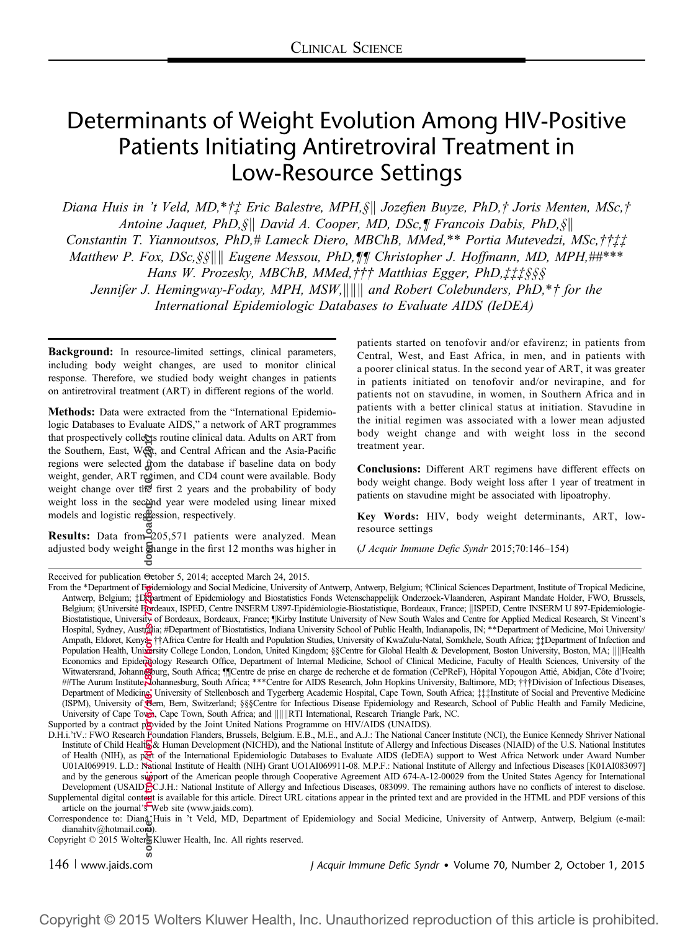# Determinants of Weight Evolution Among HIV-Positive Patients Initiating Antiretroviral Treatment in Low-Resource Settings

Diana Huis in 't Veld, MD,\* $\uparrow \downarrow$  Eric Balestre, MPH, §|| Jozefien Buyze, PhD, $\uparrow$  Joris Menten, MSc, $\uparrow$ Antoine Jaquet, PhD,  $\|\text{David } A. \text{ Cooper}, \text{MD}, \text{DSc}, \|\text{Francois Dabis}, \text{PhD}, \|\|$ Constantin T. Yiannoutsos, PhD,# Lameck Diero, MBChB, MMed,\*\* Portia Mutevedzi, MSc,††‡‡ Matthew P. Fox, DSc,  $\S\$ || Eugene Messou, PhD,  $\P$ [ Christopher J. Hoffmann, MD, MPH,##\*\*\* Hans W. Prozesky, MBChB, MMed,††† Matthias Egger, PhD,‡‡‡§§§ Jennifer J. Hemingway-Foday, MPH, MSW,  $\| \| \|$  and Robert Colebunders, PhD,\*† for the International Epidemiologic Databases to Evaluate AIDS (IeDEA)

Background: In resource-limited settings, clinical parameters, including body weight changes, are used to monitor clinical response. Therefore, we studied body weight changes in patients on antiretroviral treatment (ART) in different regions of the world.

Methods: Data were extracted from the "International Epidemiologic Databases to Evaluate AIDS," a network of ART programmes that prospectively collects routine clinical data. Adults on ART from the Southern, East, West, and Central African and the Asia-Pacific regions were selected from the database if baseline data on body weight, gender, ART regimen, and CD4 count were available. Body weight change over the first 2 years and the probability of body weight loss in the second year were modeled using linear mixed models and logistic reguession, respectively.

Results: Data from 205,571 patients were analyzed. Mean adjusted body weight change in the first 12 months was higher in patients started on tenofovir and/or efavirenz; in patients from Central, West, and East Africa, in men, and in patients with a poorer clinical status. In the second year of ART, it was greater in patients initiated on tenofovir and/or nevirapine, and for patients not on stavudine, in women, in Southern Africa and in patients with a better clinical status at initiation. Stavudine in the initial regimen was associated with a lower mean adjusted body weight change and with weight loss in the second treatment year.

Conclusions: Different ART regimens have different effects on body weight change. Body weight loss after 1 year of treatment in patients on stavudine might be associated with lipoatrophy.

Key Words: HIV, body weight determinants, ART, lowresource settings

(J Acquir Immune Defic Syndr 2015;70:146–154)

Received for publication October 5, 2014; accepted March 24, 2015.

Supported by a contract provided by the Joint United Nations Programme on HIV/AIDS (UNAIDS).

146 <sup>|</sup> www.jaids.com J Acquir Immune Defic Syndr - Volume 70, Number 2, October 1, 2015

From the \*Department of Epidemiology and Social Medicine, University of Antwerp, Antwerp, Belgium; †Clinical Sciences Department, Institute of Tropical Medicine, Antwerp, Belgium;  $\sharp$ Department of Epidemiology and Biostatistics Fonds Wetenschappelijk Onderzoek-Vlaanderen, Aspirant Mandate Holder, FWO, Brussels, Belgium; §Université Bordeaux, ISPED, Centre INSERM U897-Epidémiologie-Biostatistique, Bordeaux, France; ||ISPED, Centre INSERM U 897-Epidemiologie-Biostatistique, University of Bordeaux, Bordeaux, France; ¶Kirby Institute University of New South Wales and Centre for Applied Medical Research, St Vincent's Hospital, Sydney, Australia; #Department of Biostatistics, Indiana University School of Public Health, Indianapolis, IN; \*\*Department of Medicine, Moi University/ Ampath, Eldoret, Kenya; ††Africa Centre for Health and Population Studies, University of KwaZulu-Natal, Somkhele, South Africa; ‡‡Department of Infection and Population Health, University College London, London, United Kingdom; §§Centre for Global Health & Development, Boston University, Boston, MA; |||Health Economics and Epidemiology Research Office, Department of Internal Medicine, School of Clinical Medicine, Faculty of Health Sciences, University of the Witwatersrand, Johannoburg, South Africa; "[Centre de prise en charge de recherche et de formation (CePReF), Hôpital Yopougon Attié, Abidjan, Côte d'Ivoire; ##The Aurum Institute, Johannesburg, South Africa; \*\*\*Centre for AIDS Research, John Hopkins University, Baltimore, MD; †††Division of Infectious Diseases, Department of Medicine, University of Stellenbosch and Tygerberg Academic Hospital, Cape Town, South Africa; ‡‡‡Institute of Social and Preventive Medicine (ISPM), University of Bern, Bern, Switzerland; §§§Centre for Infectious Disease Epidemiology and Research, School of Public Health and Family Medicine, University of Cape Town, Cape Town, South Africa; and  $\|\|\|\|RTI\|$  International, Research Triangle Park, NC. Evaluate control of the state of the state of the state of the state of the state of the state of the state of the state of the state of the state of the state of the state of the state of the state of the state of the sta

D.H.i.'tV.: FWO Research Foundation Flanders, Brussels, Belgium. E.B., M.E., and A.J.: The National Cancer Institute (NCI), the Eunice Kennedy Shriver National Institute of Child Health & Human Development (NICHD), and the National Institute of Allergy and Infectious Diseases (NIAID) of the U.S. National Institutes of Health (NIH), as p<sup>p</sup>t of the International Epidemiologic Databases to Evaluate AIDS (IeDEA) support to West Africa Network under Award Number U01AI069919. L.D.: National Institute of Health (NIH) Grant UO1AI069911-08. M.P.F.: National Institute of Allergy and Infectious Diseases [K01AI083097] and by the generous support of the American people through Cooperative Agreement AID 674-A-12-00029 from the United States Agency for International Development (USAID). C.J.H.: National Institute of Allergy and Infectious Diseases, 083099. The remaining authors have no conflicts of interest to disclose. Supplemental digital content is available for this article. Direct URL citations appear in the printed text and are provided in the HTML and PDF versions of this

article on the journal's Web site (www.jaids.com). Correspondence to: Diana Huis in 't Veld, MD, Department of Epidemiology and Social Medicine, University of Antwerp, Antwerp, Belgium (e-mail: dianahity@hotmail.com).

Copyright © 2015 Wolter Kluwer Health, Inc. All rights reserved.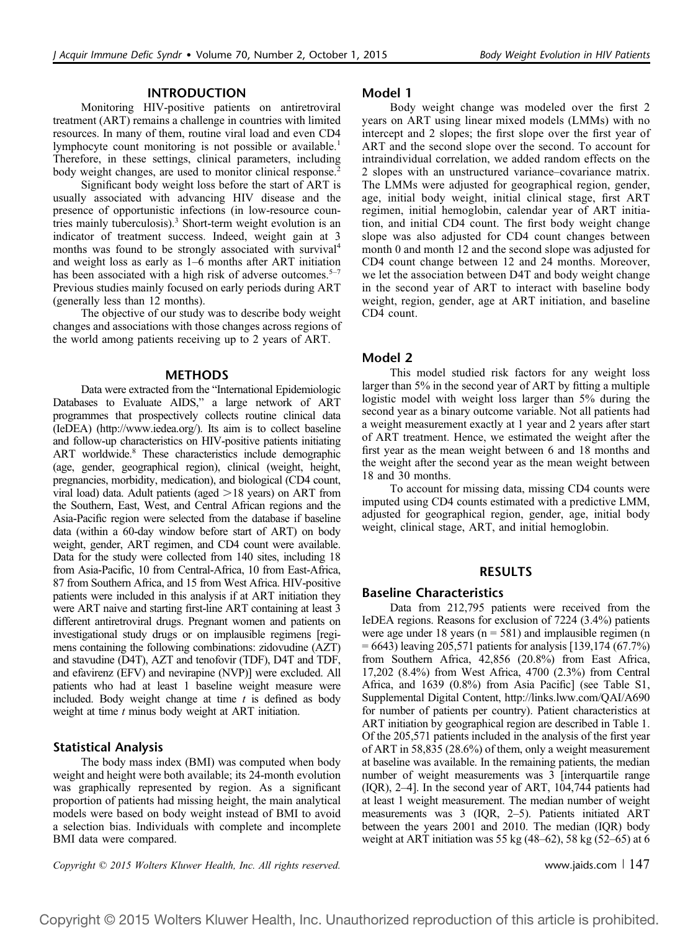# INTRODUCTION

Monitoring HIV-positive patients on antiretroviral treatment (ART) remains a challenge in countries with limited resources. In many of them, routine viral load and even CD4 lymphocyte count monitoring is not possible or available.<sup>1</sup> Therefore, in these settings, clinical parameters, including body weight changes, are used to monitor clinical response.<sup>2</sup>

Significant body weight loss before the start of ART is usually associated with advancing HIV disease and the presence of opportunistic infections (in low-resource countries mainly tuberculosis).<sup>3</sup> Short-term weight evolution is an indicator of treatment success. Indeed, weight gain at 3 months was found to be strongly associated with survival<sup>4</sup> and weight loss as early as 1–6 months after ART initiation has been associated with a high risk of adverse outcomes. $5<sup>2</sup>$ Previous studies mainly focused on early periods during ART (generally less than 12 months).

The objective of our study was to describe body weight changes and associations with those changes across regions of the world among patients receiving up to 2 years of ART.

### **METHODS**

Data were extracted from the "International Epidemiologic Databases to Evaluate AIDS," a large network of ART programmes that prospectively collects routine clinical data (IeDEA) (http://www.iedea.org/). Its aim is to collect baseline and follow-up characteristics on HIV-positive patients initiating ART worldwide.<sup>8</sup> These characteristics include demographic (age, gender, geographical region), clinical (weight, height, pregnancies, morbidity, medication), and biological (CD4 count, viral load) data. Adult patients (aged  $>18$  years) on ART from the Southern, East, West, and Central African regions and the Asia-Pacific region were selected from the database if baseline data (within a 60-day window before start of ART) on body weight, gender, ART regimen, and CD4 count were available. Data for the study were collected from 140 sites, including 18 from Asia-Pacific, 10 from Central-Africa, 10 from East-Africa, 87 from Southern Africa, and 15 from West Africa. HIV-positive patients were included in this analysis if at ART initiation they were ART naive and starting first-line ART containing at least 3 different antiretroviral drugs. Pregnant women and patients on investigational study drugs or on implausible regimens [regimens containing the following combinations: zidovudine (AZT) and stavudine (D4T), AZT and tenofovir (TDF), D4T and TDF, and efavirenz (EFV) and nevirapine (NVP)] were excluded. All patients who had at least 1 baseline weight measure were included. Body weight change at time  $t$  is defined as body weight at time *t* minus body weight at ART initiation.

#### Statistical Analysis

The body mass index (BMI) was computed when body weight and height were both available; its 24-month evolution was graphically represented by region. As a significant proportion of patients had missing height, the main analytical models were based on body weight instead of BMI to avoid a selection bias. Individuals with complete and incomplete BMI data were compared.

# Model 1

Body weight change was modeled over the first 2 years on ART using linear mixed models (LMMs) with no intercept and 2 slopes; the first slope over the first year of ART and the second slope over the second. To account for intraindividual correlation, we added random effects on the 2 slopes with an unstructured variance–covariance matrix. The LMMs were adjusted for geographical region, gender, age, initial body weight, initial clinical stage, first ART regimen, initial hemoglobin, calendar year of ART initiation, and initial CD4 count. The first body weight change slope was also adjusted for CD4 count changes between month 0 and month 12 and the second slope was adjusted for CD4 count change between 12 and 24 months. Moreover, we let the association between D4T and body weight change in the second year of ART to interact with baseline body weight, region, gender, age at ART initiation, and baseline CD4 count.

# Model 2

This model studied risk factors for any weight loss larger than 5% in the second year of ART by fitting a multiple logistic model with weight loss larger than 5% during the second year as a binary outcome variable. Not all patients had a weight measurement exactly at 1 year and 2 years after start of ART treatment. Hence, we estimated the weight after the first year as the mean weight between 6 and 18 months and the weight after the second year as the mean weight between 18 and 30 months.

To account for missing data, missing CD4 counts were imputed using CD4 counts estimated with a predictive LMM, adjusted for geographical region, gender, age, initial body weight, clinical stage, ART, and initial hemoglobin.

#### RESULTS

# Baseline Characteristics

Data from 212,795 patients were received from the IeDEA regions. Reasons for exclusion of 7224 (3.4%) patients were age under 18 years ( $n = 581$ ) and implausible regimen (n = 6643) leaving 205,571 patients for analysis [139,174 (67.7%) from Southern Africa, 42,856 (20.8%) from East Africa, 17,202 (8.4%) from West Africa, 4700 (2.3%) from Central Africa, and 1639 (0.8%) from Asia Pacific] (see Table S1, Supplemental Digital Content, http://links.lww.com/QAI/A690 for number of patients per country). Patient characteristics at ART initiation by geographical region are described in Table 1. Of the 205,571 patients included in the analysis of the first year of ART in 58,835 (28.6%) of them, only a weight measurement at baseline was available. In the remaining patients, the median number of weight measurements was 3 [interquartile range (IQR), 2–4]. In the second year of ART, 104,744 patients had at least 1 weight measurement. The median number of weight measurements was 3 (IQR, 2–5). Patients initiated ART between the years 2001 and 2010. The median (IQR) body weight at ART initiation was 55 kg (48–62), 58 kg (52–65) at 6

 $Copyright © 2015 Wolters Kluwer Health, Inc. All rights reserved.$ www.jaids.com | 147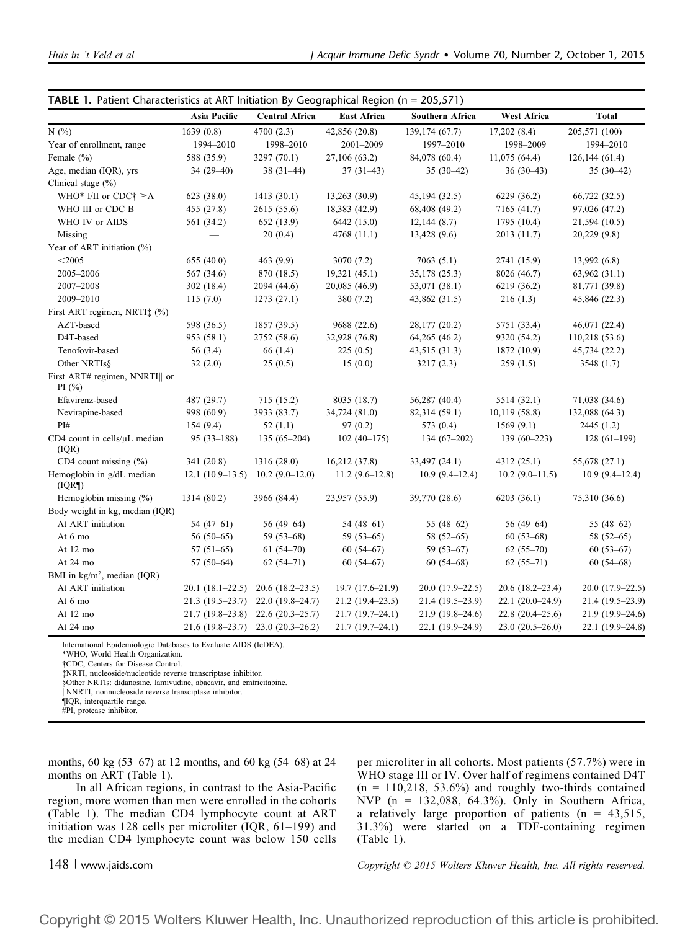| <b>TABLE 1.</b> Patient Characteristics at ART Initiation By Geographical Region ( $n = 205,571$ ) |                   |                                     |                    |                        |                        |                   |
|----------------------------------------------------------------------------------------------------|-------------------|-------------------------------------|--------------------|------------------------|------------------------|-------------------|
|                                                                                                    | Asia Pacific      | <b>Central Africa</b>               | <b>East Africa</b> | <b>Southern Africa</b> | <b>West Africa</b>     | <b>Total</b>      |
| N(%)                                                                                               | 1639(0.8)         | 4700(2.3)                           | 42,856 (20.8)      | 139,174 (67.7)         | 17,202(8.4)            | 205,571 (100)     |
| Year of enrollment, range                                                                          | 1994-2010         | 1998-2010                           | 2001-2009          | 1997-2010              | 1998-2009              | 1994-2010         |
| Female $(\% )$                                                                                     | 588 (35.9)        | 3297 (70.1)                         | 27,106 (63.2)      | 84,078 (60.4)          | 11,075(64.4)           | 126,144(61.4)     |
| Age, median (IOR), yrs                                                                             | $34(29-40)$       | $38(31-44)$                         | $37(31-43)$        | $35(30-42)$            | $36(30-43)$            | $35(30-42)$       |
| Clinical stage $(\% )$                                                                             |                   |                                     |                    |                        |                        |                   |
| WHO* I/II or CDC† $\geq$ A                                                                         | 623(38.0)         | 1413(30.1)                          | $13,263$ $(30.9)$  | 45,194 (32.5)          | 6229 (36.2)            | 66,722(32.5)      |
| WHO III or CDC B                                                                                   | 455 (27.8)        | 2615 (55.6)                         | 18,383 (42.9)      | 68,408 (49.2)          | 7165 (41.7)            | 97,026 (47.2)     |
| WHO IV or AIDS                                                                                     | 561 (34.2)        | 652 (13.9)                          | 6442 (15.0)        | 12,144(8.7)            | 1795(10.4)             | 21,594 (10.5)     |
| Missing                                                                                            |                   | 20(0.4)                             | 4768 (11.1)        | 13,428 (9.6)           | 2013 (11.7)            | 20,229 (9.8)      |
| Year of ART initiation (%)                                                                         |                   |                                     |                    |                        |                        |                   |
| $<$ 2005                                                                                           | 655 (40.0)        | 463 $(9.9)$                         | 3070 (7.2)         | 7063(5.1)              | 2741 (15.9)            | 13,992(6.8)       |
| 2005-2006                                                                                          | 567 (34.6)        | 870 (18.5)                          | 19,321(45.1)       | 35,178 (25.3)          | 8026 (46.7)            | $63,962$ $(31.1)$ |
| 2007-2008                                                                                          | 302(18.4)         | 2094 (44.6)                         | 20,085 (46.9)      | 53,071 (38.1)          | 6219 (36.2)            | 81,771 (39.8)     |
| 2009-2010                                                                                          | 115(7.0)          | 1273(27.1)                          | 380 (7.2)          | 43,862 (31.5)          | 216(1.3)               | 45,846 (22.3)     |
| First ART regimen, NRTI <sup>†</sup> (%)                                                           |                   |                                     |                    |                        |                        |                   |
| AZT-based                                                                                          | 598 (36.5)        | 1857 (39.5)                         | 9688 (22.6)        | 28,177 (20.2)          | 5751 (33.4)            | 46,071 (22.4)     |
| D4T-based                                                                                          | 953 (58.1)        | 2752 (58.6)                         | 32,928 (76.8)      | 64,265 (46.2)          | 9320 (54.2)            | 110,218 (53.6)    |
| Tenofovir-based                                                                                    | 56 (3.4)          | 66 (1.4)                            | 225(0.5)           | 43,515 (31.3)          | 1872 (10.9)            | 45,734 (22.2)     |
| Other NRTIs§                                                                                       | 32(2.0)           | 25(0.5)                             | 15(0.0)            | 3217(2.3)              | 259(1.5)               | 3548 (1.7)        |
| First ART# regimen, NNRTI   or<br>PI $(\%$                                                         |                   |                                     |                    |                        |                        |                   |
| Efavirenz-based                                                                                    | 487 (29.7)        | 715(15.2)                           | 8035 (18.7)        | 56,287 (40.4)          | 5514 (32.1)            | 71,038 (34.6)     |
| Nevirapine-based                                                                                   | 998 (60.9)        | 3933 (83.7)                         | 34,724 (81.0)      | 82,314 (59.1)          | 10,119(58.8)           | 132,088 (64.3)    |
| PI#                                                                                                | 154(9.4)          | 52(1.1)                             | 97(0.2)            | 573(0.4)               | 1569(9.1)              | 2445(1.2)         |
| CD4 count in cells/µL median<br>( IQR)                                                             | $95(33-188)$      | $135(65-204)$                       | $102(40-175)$      | $134(67-202)$          | $139(60-223)$          | $128(61-199)$     |
| CD4 count missing $(\% )$                                                                          | 341 (20.8)        | 1316 (28.0)                         | 16,212(37.8)       | 33,497 (24.1)          | 4312 (25.1)            | 55,678 (27.1)     |
| Hemoglobin in g/dL median<br>$(IQR\P)$                                                             | $12.1(10.9-13.5)$ | $10.2(9.0-12.0)$                    | $11.2(9.6-12.8)$   | $10.9(9.4-12.4)$       | $10.2(9.0-11.5)$       | $10.9(9.4-12.4)$  |
| Hemoglobin missing (%)                                                                             | 1314 (80.2)       | 3966 (84.4)                         | 23,957 (55.9)      | 39,770 (28.6)          | 6203 (36.1)            | 75,310 (36.6)     |
| Body weight in kg, median (IQR)                                                                    |                   |                                     |                    |                        |                        |                   |
| At ART initiation                                                                                  | 54 $(47-61)$      | 56 (49-64)                          | 54 $(48-61)$       | 55 (48-62)             | 56 (49-64)             | 55 (48-62)        |
| At 6 mo                                                                                            | $56(50-65)$       | $59(53-68)$                         | $59(53-65)$        | 58 $(52-65)$           | $60(53-68)$            | 58 $(52-65)$      |
| At 12 mo                                                                                           | $57(51-65)$       | $61(54 - 70)$                       | $60(54-67)$        | 59 $(53-67)$           | $62(55-70)$            | $60(53-67)$       |
| At 24 mo                                                                                           | $57(50-64)$       | $62(54 - 71)$                       | $60(54-67)$        | $60(54-68)$            | $62(55-71)$            | $60(54-68)$       |
| BMI in $\text{kg/m}^2$ , median (IQR)                                                              |                   |                                     |                    |                        |                        |                   |
| At ART initiation                                                                                  | $20.1(18.1-22.5)$ | $20.6(18.2-23.5)$                   | $19.7(17.6-21.9)$  | $20.0(17.9-22.5)$      | $20.6$ $(18.2 - 23.4)$ | 20.0 (17.9–22.5)  |
| At 6 mo                                                                                            | $21.3(19.5-23.7)$ | $22.0(19.8-24.7)$                   | $21.2(19.4-23.5)$  | $21.4(19.5-23.9)$      | $22.1(20.0-24.9)$      | $21.4(19.5-23.9)$ |
| At 12 mo                                                                                           | $21.7(19.8-23.8)$ | $22.6(20.3-25.7)$                   | $21.7(19.7-24.1)$  | $21.9(19.8-24.6)$      | $22.8(20.4-25.6)$      | 21.9 (19.9-24.6)  |
| At 24 mo                                                                                           |                   | $21.6(19.8-23.7)$ $23.0(20.3-26.2)$ | $21.7(19.7-24.1)$  | 22.1 (19.9–24.9)       | $23.0(20.5-26.0)$      | 22.1 (19.9–24.8)  |

| TABLE 1. Patient Characteristics at ART Initiation By Geographical Region (n = 205,571) |
|-----------------------------------------------------------------------------------------|
|-----------------------------------------------------------------------------------------|

International Epidemiologic Databases to Evaluate AIDS (IeDEA).

\*WHO, World Health Organization. †CDC, Centers for Disease Control.

‡NRTI, nucleoside/nucleotide reverse transcriptase inhibitor. §Other NRTIs: didanosine, lamivudine, abacavir, and emtricitabine.

kNNRTI, nonnucleoside reverse transciptase inhibitor.

¶IQR, interquartile range.

#PI, protease inhibitor.

months, 60 kg (53–67) at 12 months, and 60 kg (54–68) at 24 months on ART (Table 1).

In all African regions, in contrast to the Asia-Pacific region, more women than men were enrolled in the cohorts (Table 1). The median CD4 lymphocyte count at ART initiation was 128 cells per microliter (IQR, 61–199) and the median CD4 lymphocyte count was below 150 cells

per microliter in all cohorts. Most patients (57.7%) were in WHO stage III or IV. Over half of regimens contained D4T  $(n = 110, 218, 53.6%)$  and roughly two-thirds contained NVP (n = 132,088, 64.3%). Only in Southern Africa, a relatively large proportion of patients ( $n = 43,515$ , 31.3%) were started on a TDF-containing regimen (Table 1).

148 <sup>|</sup> www.jaids.com Copyright © 2015 Wolters Kluwer Health, Inc. All rights reserved.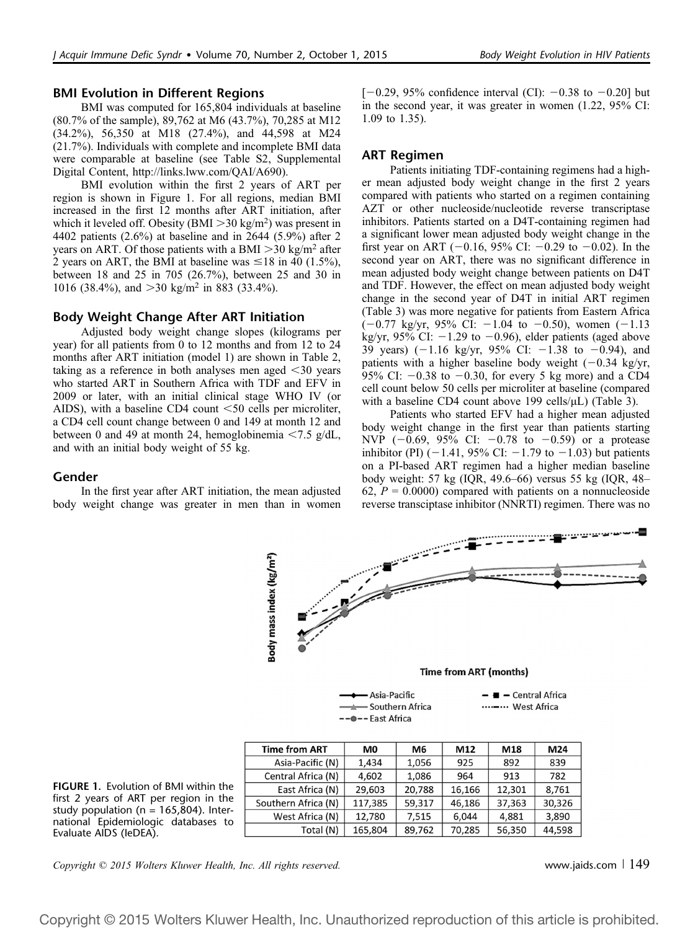# BMI Evolution in Different Regions

BMI was computed for 165,804 individuals at baseline (80.7% of the sample), 89,762 at M6 (43.7%), 70,285 at M12 (34.2%), 56,350 at M18 (27.4%), and 44,598 at M24 (21.7%). Individuals with complete and incomplete BMI data were comparable at baseline (see Table S2, Supplemental Digital Content, http://links.lww.com/QAI/A690).

BMI evolution within the first 2 years of ART per region is shown in Figure 1. For all regions, median BMI increased in the first 12 months after ART initiation, after which it leveled off. Obesity (BMI  $>$  30 kg/m<sup>2</sup>) was present in 4402 patients (2.6%) at baseline and in 2644 (5.9%) after 2 years on ART. Of those patients with a BMI  $>$ 30 kg/m<sup>2</sup> after 2 years on ART, the BMI at baseline was  $\leq 18$  in 40 (1.5%), between 18 and 25 in 705 (26.7%), between 25 and 30 in 1016 (38.4%), and  $>$ 30 kg/m<sup>2</sup> in 883 (33.4%).

# Body Weight Change After ART Initiation

Adjusted body weight change slopes (kilograms per year) for all patients from 0 to 12 months and from 12 to 24 months after ART initiation (model 1) are shown in Table 2, taking as a reference in both analyses men aged  $\leq$ 30 years who started ART in Southern Africa with TDF and EFV in 2009 or later, with an initial clinical stage WHO IV (or AIDS), with a baseline CD4 count  $<$  50 cells per microliter, a CD4 cell count change between 0 and 149 at month 12 and between 0 and 49 at month 24, hemoglobinemia  $\langle 7.5 \text{ g/dL} \rangle$ , and with an initial body weight of 55 kg.

# Gender

In the first year after ART initiation, the mean adjusted body weight change was greater in men than in women

 $[-0.29, 95\%$  confidence interval (CI):  $-0.38$  to  $-0.20$ ] but in the second year, it was greater in women (1.22, 95% CI: 1.09 to 1.35).

# ART Regimen

Patients initiating TDF-containing regimens had a higher mean adjusted body weight change in the first 2 years compared with patients who started on a regimen containing AZT or other nucleoside/nucleotide reverse transcriptase inhibitors. Patients started on a D4T-containing regimen had a significant lower mean adjusted body weight change in the first year on ART (-0.16, 95% CI: -0.29 to -0.02). In the second year on ART, there was no significant difference in mean adjusted body weight change between patients on D4T and TDF. However, the effect on mean adjusted body weight change in the second year of D4T in initial ART regimen (Table 3) was more negative for patients from Eastern Africa  $(-0.77 \text{ kg/yr}, 95\% \text{ CI: } -1.04 \text{ to } -0.50)$ , women  $(-1.13 \text{ m})$ kg/yr, 95% CI:  $-1.29$  to  $-0.96$ ), elder patients (aged above 39 years)  $(-1.16 \text{ kg/yr}, 95\% \text{ CI: } -1.38 \text{ to } -0.94)$ , and patients with a higher baseline body weight  $(-0.34 \text{ kg/yr},$ 95% CI:  $-0.38$  to  $-0.30$ , for every 5 kg more) and a CD4 cell count below 50 cells per microliter at baseline (compared with a baseline CD4 count above 199 cells/ $\mu$ L) (Table 3).

Patients who started EFV had a higher mean adjusted body weight change in the first year than patients starting NVP  $(-0.69, 95\% \text{ CI: } -0.78 \text{ to } -0.59) \text{ or a protease}$ inhibitor (PI)  $(-1.41, 95\% \text{ CI: } -1.79 \text{ to } -1.03)$  but patients on a PI-based ART regimen had a higher median baseline body weight: 57 kg (IQR, 49.6–66) versus 55 kg (IQR, 48– 62,  $P = 0.0000$  compared with patients on a nonnucleoside reverse transciptase inhibitor (NNRTI) regimen. There was no



FIGURE 1. Evolution of BMI within the first 2 years of ART per region in the study population ( $n = 165,804$ ). International Epidemiologic databases to Evaluate AIDS (IeDEA).

| IIIIE IIVIII ANT    | <b>IVIU</b> | IVIU   | MLL    | IVITO  | <b>IVILT</b> |
|---------------------|-------------|--------|--------|--------|--------------|
| Asia-Pacific (N)    | 1.434       | 1,056  | 925    | 892    | 839          |
| Central Africa (N)  | 4,602       | 1,086  | 964    | 913    | 782          |
| East Africa (N)     | 29,603      | 20,788 | 16,166 | 12.301 | 8.761        |
| Southern Africa (N) | 117,385     | 59.317 | 46.186 | 37,363 | 30,326       |
| West Africa (N)     | 12,780      | 7,515  | 6.044  | 4,881  | 3,890        |
| Total (N)           | 165.804     | 89.762 | 70.285 | 56.350 | 44.598       |

Copyright © 2015 Wolters Kluwer Health, Inc. All rights reserved. www.jaids.com | 149

Copyright © 2015 Wolters Kluwer Health, Inc. Unauthorized reproduction of this article is prohibited.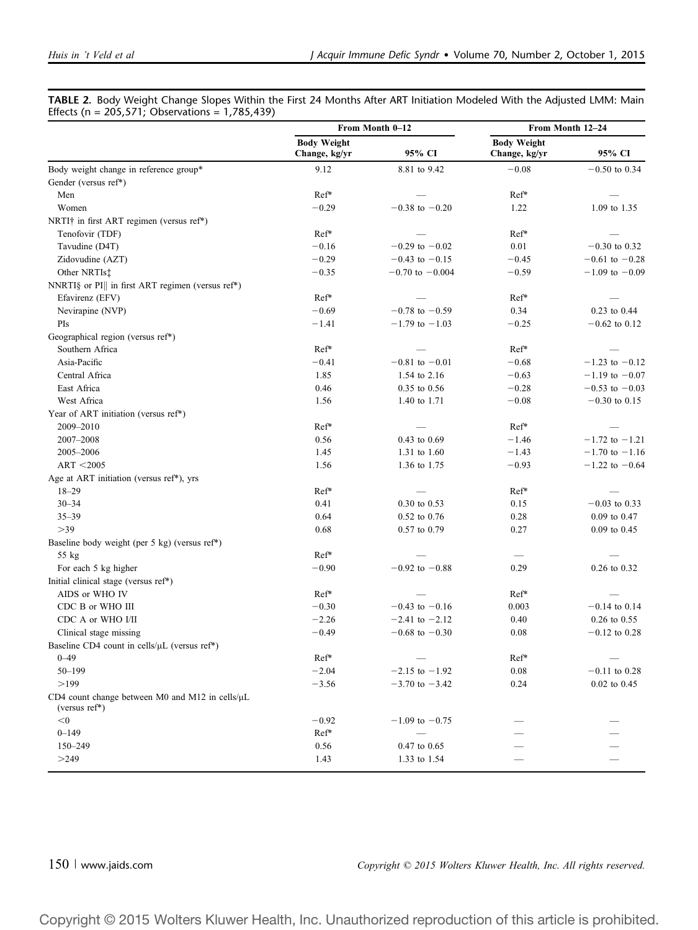|                                                       |                                     | From Month 0-12     |                                     | From Month 12-24   |  |
|-------------------------------------------------------|-------------------------------------|---------------------|-------------------------------------|--------------------|--|
|                                                       | <b>Body Weight</b><br>Change, kg/yr | 95% CI              | <b>Body Weight</b><br>Change, kg/yr | 95% CI             |  |
| Body weight change in reference group*                | 9.12                                | 8.81 to 9.42        | $-0.08$                             | $-0.50$ to 0.34    |  |
| Gender (versus ref*)                                  |                                     |                     |                                     |                    |  |
| Men                                                   | $Ref*$                              |                     | $Ref*$                              |                    |  |
| Women                                                 | $-0.29$                             | $-0.38$ to $-0.20$  | 1.22                                | 1.09 to 1.35       |  |
| NRTI† in first ART regimen (versus ref*)              |                                     |                     |                                     |                    |  |
| Tenofovir (TDF)                                       | $Ref*$                              |                     | $Ref*$                              |                    |  |
| Tavudine (D4T)                                        | $-0.16$                             | $-0.29$ to $-0.02$  | 0.01                                | $-0.30$ to 0.32    |  |
| Zidovudine (AZT)                                      | $-0.29$                             | $-0.43$ to $-0.15$  | $-0.45$                             | $-0.61$ to $-0.28$ |  |
| Other NRTIs‡                                          | $-0.35$                             | $-0.70$ to $-0.004$ | $-0.59$                             | $-1.09$ to $-0.09$ |  |
| NNRTI§ or PI   in first ART regimen (versus ref*)     |                                     |                     |                                     |                    |  |
| Efavirenz (EFV)                                       | Ref*                                |                     | Ref*                                |                    |  |
| Nevirapine (NVP)                                      | $-0.69$                             | $-0.78$ to $-0.59$  | 0.34                                | $0.23$ to $0.44$   |  |
| PIs                                                   | $-1.41$                             | $-1.79$ to $-1.03$  | $-0.25$                             | $-0.62$ to 0.12    |  |
| Geographical region (versus ref*)                     |                                     |                     |                                     |                    |  |
| Southern Africa                                       | $Ref*$                              |                     | $Ref*$                              |                    |  |
| Asia-Pacific                                          | $-0.41$                             | $-0.81$ to $-0.01$  | $-0.68$                             | $-1.23$ to $-0.12$ |  |
| Central Africa                                        | 1.85                                | 1.54 to 2.16        | $-0.63$                             | $-1.19$ to $-0.07$ |  |
| East Africa                                           | 0.46                                | 0.35 to 0.56        | $-0.28$                             | $-0.53$ to $-0.03$ |  |
| West Africa                                           | 1.56                                | 1.40 to 1.71        | $-0.08$                             | $-0.30$ to 0.15    |  |
| Year of ART initiation (versus ref*)                  |                                     |                     |                                     |                    |  |
| 2009-2010                                             | Ref*                                |                     | $Ref*$                              |                    |  |
| 2007-2008                                             | 0.56                                | $0.43$ to $0.69$    | $-1.46$                             | $-1.72$ to $-1.21$ |  |
| 2005-2006                                             | 1.45                                | 1.31 to 1.60        | $-1.43$                             | $-1.70$ to $-1.16$ |  |
| ART $<$ 2005                                          | 1.56                                | 1.36 to 1.75        | $-0.93$                             | $-1.22$ to $-0.64$ |  |
| Age at ART initiation (versus ref*), yrs              |                                     |                     |                                     |                    |  |
| $18 - 29$                                             | Ref*                                |                     | $Ref*$                              |                    |  |
| $30 - 34$                                             | 0.41                                | 0.30 to 0.53        | 0.15                                | $-0.03$ to 0.33    |  |
| $35 - 39$                                             | 0.64                                | $0.52$ to $0.76$    | 0.28                                | $0.09$ to $0.47$   |  |
| >39                                                   | 0.68                                | 0.57 to 0.79        | 0.27                                | $0.09$ to $0.45$   |  |
| Baseline body weight (per 5 kg) (versus ref*)         |                                     |                     |                                     |                    |  |
| 55 kg                                                 | $Ref*$                              |                     |                                     |                    |  |
| For each 5 kg higher                                  | $-0.90$                             | $-0.92$ to $-0.88$  | 0.29                                | 0.26 to 0.32       |  |
| Initial clinical stage (versus ref*)                  |                                     |                     |                                     |                    |  |
| AIDS or WHO IV                                        | $Ref*$                              |                     | Ref*                                |                    |  |
| CDC B or WHO III                                      | $-0.30$                             | $-0.43$ to $-0.16$  | 0.003                               | $-0.14$ to 0.14    |  |
| CDC A or WHO I/II                                     | $-2.26$                             | $-2.41$ to $-2.12$  | 0.40                                | $0.26$ to $0.55$   |  |
| Clinical stage missing                                | $-0.49$                             | $-0.68$ to $-0.30$  | 0.08                                | $-0.12$ to 0.28    |  |
| Baseline CD4 count in cells/µL (versus ref*)          |                                     |                     |                                     |                    |  |
| $0 - 49$                                              | $Ref*$                              |                     | $Ref*$                              |                    |  |
| $50 - 199$                                            | $-2.04$                             | $-2.15$ to $-1.92$  | 0.08                                | $-0.11$ to 0.28    |  |
| >199                                                  |                                     |                     |                                     | $0.02$ to $0.45$   |  |
| CD4 count change between M0 and M12 in cells/ $\mu$ L | $-3.56$                             | $-3.70$ to $-3.42$  | 0.24                                |                    |  |
| (versus ref*)                                         |                                     |                     |                                     |                    |  |
| $<\!0$                                                | $-0.92$                             | $-1.09$ to $-0.75$  |                                     |                    |  |
| $0 - 149$                                             | Ref*                                |                     |                                     |                    |  |
| $150 - 249$                                           | 0.56                                | 0.47 to 0.65        |                                     |                    |  |
| >249                                                  | 1.43                                | 1.33 to 1.54        |                                     |                    |  |

TABLE 2. Body Weight Change Slopes Within the First 24 Months After ART Initiation Modeled With the Adjusted LMM: Main Effects ( $n = 205,571$ ; Observations = 1,785,439)

150 <sup>|</sup> www.jaids.com Copyright © 2015 Wolters Kluwer Health, Inc. All rights reserved.

Copyright © 2015 Wolters Kluwer Health, Inc. Unauthorized reproduction of this article is prohibited.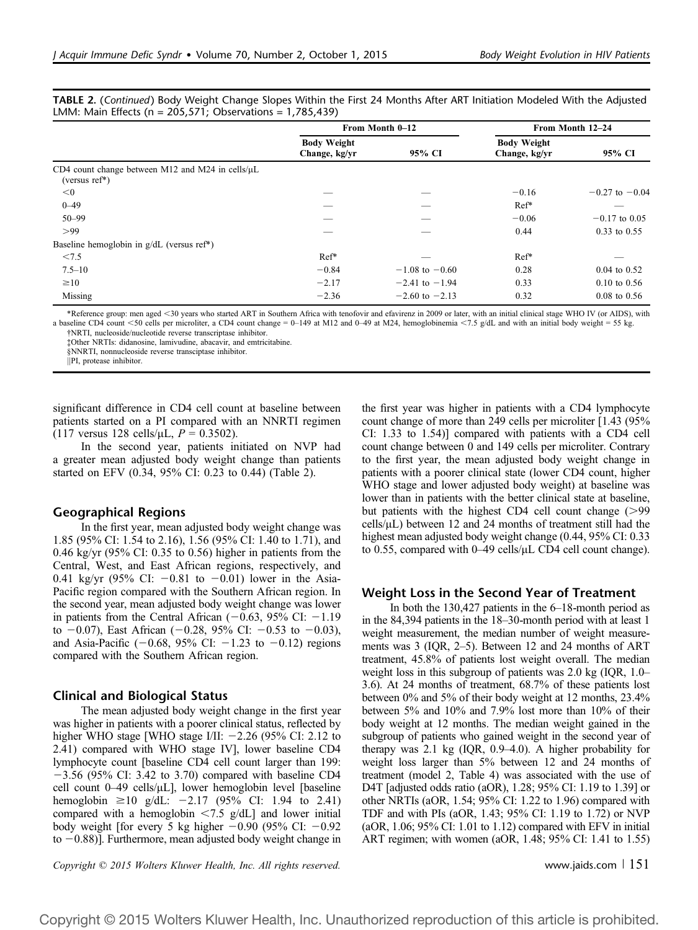TABLE 2. (Continued) Body Weight Change Slopes Within the First 24 Months After ART Initiation Modeled With the Adjusted LMM: Main Effects (n = 205,571; Observations = 1,785,439)

|                                                                         | From Month 0-12                     |                    | From Month 12-24                    |                         |
|-------------------------------------------------------------------------|-------------------------------------|--------------------|-------------------------------------|-------------------------|
|                                                                         | <b>Body Weight</b><br>Change, kg/yr | 95% CI             | <b>Body Weight</b><br>Change, kg/yr | 95% CI                  |
| CD4 count change between M12 and M24 in cells/ $\mu$ L<br>(versus ref*) |                                     |                    |                                     |                         |
| $<$ 0                                                                   |                                     |                    | $-0.16$                             | $-0.27$ to $-0.04$      |
| $0 - 49$                                                                |                                     |                    | $Ref*$                              |                         |
| $50 - 99$                                                               |                                     |                    | $-0.06$                             | $-0.17$ to 0.05         |
| >99                                                                     |                                     |                    | 0.44                                | $0.33$ to $0.55$        |
| Baseline hemoglobin in $g/dL$ (versus ref*)                             |                                     |                    |                                     |                         |
| < 7.5                                                                   | $Ref*$                              |                    | $Ref*$                              |                         |
| $7.5 - 10$                                                              | $-0.84$                             | $-1.08$ to $-0.60$ | 0.28                                | $0.04$ to $0.52$        |
| $\geq 10$                                                               | $-2.17$                             | $-2.41$ to $-1.94$ | 0.33                                | $0.10 \text{ to } 0.56$ |
| Missing                                                                 | $-2.36$                             | $-2.60$ to $-2.13$ | 0.32                                | $0.08 \text{ to } 0.56$ |

\*Reference group: men aged ,30 years who started ART in Southern Africa with tenofovir and efavirenz in 2009 or later, with an initial clinical stage WHO IV (or AIDS), with a baseline CD4 count <50 cells per microliter, a CD4 count change = 0-149 at M12 and 0-49 at M24, hemoglobinemia <7.5 g/dL and with an initial body weight = 55 kg. †NRTI, nucleoside/nucleotide reverse transcriptase inhibitor.

‡Other NRTIs: didanosine, lamivudine, abacavir, and emtricitabine.

§NNRTI, nonnucleoside reverse transciptase inhibitor.

 $\Vert$ PI, protease inhibitor.

significant difference in CD4 cell count at baseline between patients started on a PI compared with an NNRTI regimen (117 versus 128 cells/ $\mu L$ ,  $P = 0.3502$ ).

In the second year, patients initiated on NVP had a greater mean adjusted body weight change than patients started on EFV (0.34, 95% CI: 0.23 to 0.44) (Table 2).

# Geographical Regions

In the first year, mean adjusted body weight change was 1.85 (95% CI: 1.54 to 2.16), 1.56 (95% CI: 1.40 to 1.71), and 0.46 kg/yr (95% CI: 0.35 to 0.56) higher in patients from the Central, West, and East African regions, respectively, and 0.41 kg/yr (95% CI:  $-0.81$  to  $-0.01$ ) lower in the Asia-Pacific region compared with the Southern African region. In the second year, mean adjusted body weight change was lower in patients from the Central African  $(-0.63, 95\% \text{ CI: } -1.19$ to  $-0.07$ ), East African ( $-0.28$ , 95% CI:  $-0.53$  to  $-0.03$ ), and Asia-Pacific  $(-0.68, 95\% \text{ CI: } -1.23 \text{ to } -0.12)$  regions compared with the Southern African region.

#### Clinical and Biological Status

The mean adjusted body weight change in the first year was higher in patients with a poorer clinical status, reflected by higher WHO stage [WHO stage I/II:  $-2.26$  (95% CI: 2.12 to 2.41) compared with WHO stage IV], lower baseline CD4 lymphocyte count [baseline CD4 cell count larger than 199:  $-3.56$  (95% CI: 3.42 to 3.70) compared with baseline CD4 cell count  $0-49$  cells/ $\mu$ L], lower hemoglobin level [baseline hemoglobin  $\geq 10$  g/dL:  $-2.17$  (95% CI: 1.94 to 2.41) compared with a hemoglobin  $\langle 7.5 \text{ g/dL} ]$  and lower initial body weight [for every 5 kg higher  $-0.90$  (95% CI:  $-0.92$ ) to  $-0.88$ )]. Furthermore, mean adjusted body weight change in

the first year was higher in patients with a CD4 lymphocyte count change of more than 249 cells per microliter [1.43 (95% CI: 1.33 to 1.54)] compared with patients with a CD4 cell count change between 0 and 149 cells per microliter. Contrary to the first year, the mean adjusted body weight change in patients with a poorer clinical state (lower CD4 count, higher WHO stage and lower adjusted body weight) at baseline was lower than in patients with the better clinical state at baseline, but patients with the highest CD4 cell count change  $(>\!99$  $cells/µL$ ) between 12 and 24 months of treatment still had the highest mean adjusted body weight change (0.44, 95% CI: 0.33 to 0.55, compared with  $0-49$  cells/ $\mu$ L CD4 cell count change).

#### Weight Loss in the Second Year of Treatment

In both the 130,427 patients in the 6–18-month period as in the 84,394 patients in the 18–30-month period with at least 1 weight measurement, the median number of weight measurements was 3 (IQR, 2–5). Between 12 and 24 months of ART treatment, 45.8% of patients lost weight overall. The median weight loss in this subgroup of patients was 2.0 kg (IQR, 1.0– 3.6). At 24 months of treatment, 68.7% of these patients lost between 0% and 5% of their body weight at 12 months, 23.4% between 5% and 10% and 7.9% lost more than 10% of their body weight at 12 months. The median weight gained in the subgroup of patients who gained weight in the second year of therapy was 2.1 kg (IQR, 0.9–4.0). A higher probability for weight loss larger than 5% between 12 and 24 months of treatment (model 2, Table 4) was associated with the use of D4T [adjusted odds ratio (aOR), 1.28; 95% CI: 1.19 to 1.39] or other NRTIs (aOR, 1.54; 95% CI: 1.22 to 1.96) compared with TDF and with PIs (aOR, 1.43; 95% CI: 1.19 to 1.72) or NVP (aOR, 1.06; 95% CI: 1.01 to 1.12) compared with EFV in initial ART regimen; with women (aOR, 1.48; 95% CI: 1.41 to 1.55)

 $Copyright © 2015 Wolters Kluwer Health, Inc. All rights reserved.$  www.jaids.com | 151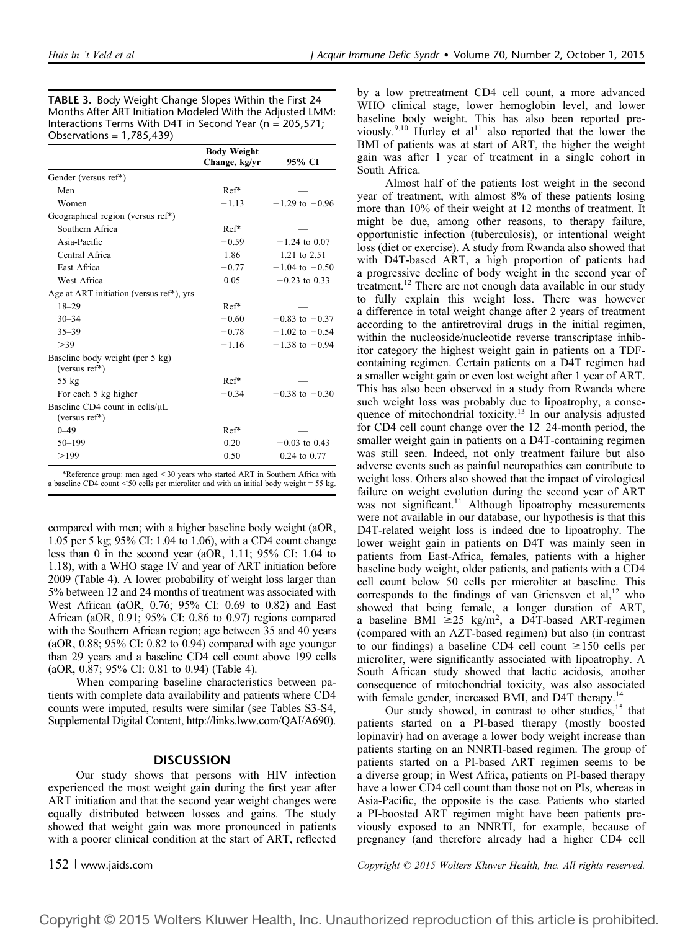TABLE 3. Body Weight Change Slopes Within the First 24 Months After ART Initiation Modeled With the Adjusted LMM: Interactions Terms With D4T in Second Year (n = 205,571; Observations = 1,785,439)

|                                                  | <b>Body Weight</b><br>Change, kg/yr | 95% CI             |
|--------------------------------------------------|-------------------------------------|--------------------|
| Gender (versus ref*)                             |                                     |                    |
| Men                                              | $Ref^*$                             |                    |
| Women                                            | $-1.13$                             | $-1.29$ to $-0.96$ |
| Geographical region (versus ref*)                |                                     |                    |
| Southern Africa                                  | $Ref*$                              |                    |
| Asia-Pacific                                     | $-0.59$                             | $-1.24$ to 0.07    |
| Central Africa                                   | 1.86                                | 1.21 to 2.51       |
| East Africa                                      | $-0.77$                             | $-1.04$ to $-0.50$ |
| West Africa                                      | 0.05                                | $-0.23$ to 0.33    |
| Age at ART initiation (versus ref*), yrs         |                                     |                    |
| $18 - 29$                                        | $Ref*$                              |                    |
| $30 - 34$                                        | $-0.60$                             | $-0.83$ to $-0.37$ |
| $35 - 39$                                        | $-0.78$                             | $-1.02$ to $-0.54$ |
| >39                                              | $-1.16$                             | $-1.38$ to $-0.94$ |
| Baseline body weight (per 5 kg)<br>(versus ref*) |                                     |                    |
| 55 kg                                            | $Ref*$                              |                    |
| For each 5 kg higher                             | $-0.34$                             | $-0.38$ to $-0.30$ |
| Baseline CD4 count in cells/µL<br>(versus ref*)  |                                     |                    |
| $0 - 49$                                         | $Ref*$                              |                    |
| $50 - 199$                                       | 0.20                                | $-0.03$ to 0.43    |
| >199                                             | 0.50                                | $0.24$ to $0.77$   |

\*Reference group: men aged ,30 years who started ART in Southern Africa with a baseline CD4 count  $\lt$  50 cells per microliter and with an initial body weight = 55 kg.

compared with men; with a higher baseline body weight (aOR, 1.05 per 5 kg; 95% CI: 1.04 to 1.06), with a CD4 count change less than 0 in the second year (aOR, 1.11; 95% CI: 1.04 to 1.18), with a WHO stage IV and year of ART initiation before 2009 (Table 4). A lower probability of weight loss larger than 5% between 12 and 24 months of treatment was associated with West African (aOR, 0.76; 95% CI: 0.69 to 0.82) and East African (aOR, 0.91; 95% CI: 0.86 to 0.97) regions compared with the Southern African region; age between 35 and 40 years (aOR, 0.88; 95% CI: 0.82 to 0.94) compared with age younger than 29 years and a baseline CD4 cell count above 199 cells (aOR, 0.87; 95% CI: 0.81 to 0.94) (Table 4).

When comparing baseline characteristics between patients with complete data availability and patients where CD4 counts were imputed, results were similar (see Tables S3-S4, Supplemental Digital Content, http://links.lww.com/QAI/A690).

#### **DISCUSSION**

Our study shows that persons with HIV infection experienced the most weight gain during the first year after ART initiation and that the second year weight changes were equally distributed between losses and gains. The study showed that weight gain was more pronounced in patients with a poorer clinical condition at the start of ART, reflected

by a low pretreatment CD4 cell count, a more advanced WHO clinical stage, lower hemoglobin level, and lower baseline body weight. This has also been reported previously.<sup>9,10</sup> Hurley et al<sup>11</sup> also reported that the lower the BMI of patients was at start of ART, the higher the weight gain was after 1 year of treatment in a single cohort in South Africa.

Almost half of the patients lost weight in the second year of treatment, with almost 8% of these patients losing more than 10% of their weight at 12 months of treatment. It might be due, among other reasons, to therapy failure, opportunistic infection (tuberculosis), or intentional weight loss (diet or exercise). A study from Rwanda also showed that with D4T-based ART, a high proportion of patients had a progressive decline of body weight in the second year of treatment.<sup>12</sup> There are not enough data available in our study to fully explain this weight loss. There was however a difference in total weight change after 2 years of treatment according to the antiretroviral drugs in the initial regimen, within the nucleoside/nucleotide reverse transcriptase inhibitor category the highest weight gain in patients on a TDFcontaining regimen. Certain patients on a D4T regimen had a smaller weight gain or even lost weight after 1 year of ART. This has also been observed in a study from Rwanda where such weight loss was probably due to lipoatrophy, a consequence of mitochondrial toxicity.<sup>13</sup> In our analysis adjusted for CD4 cell count change over the 12–24-month period, the smaller weight gain in patients on a D4T-containing regimen was still seen. Indeed, not only treatment failure but also adverse events such as painful neuropathies can contribute to weight loss. Others also showed that the impact of virological failure on weight evolution during the second year of ART was not significant.<sup>11</sup> Although lipoatrophy measurements were not available in our database, our hypothesis is that this D4T-related weight loss is indeed due to lipoatrophy. The lower weight gain in patients on D4T was mainly seen in patients from East-Africa, females, patients with a higher baseline body weight, older patients, and patients with a CD4 cell count below 50 cells per microliter at baseline. This corresponds to the findings of van Griensven et  $al$ ,<sup>12</sup> who showed that being female, a longer duration of ART, a baseline BMI  $\geq$ 25 kg/m<sup>2</sup>, a D4T-based ART-regimen (compared with an AZT-based regimen) but also (in contrast to our findings) a baseline CD4 cell count  $\geq$ 150 cells per microliter, were significantly associated with lipoatrophy. A South African study showed that lactic acidosis, another consequence of mitochondrial toxicity, was also associated with female gender, increased BMI, and D4T therapy.<sup>14</sup>

Our study showed, in contrast to other studies,<sup>15</sup> that patients started on a PI-based therapy (mostly boosted lopinavir) had on average a lower body weight increase than patients starting on an NNRTI-based regimen. The group of patients started on a PI-based ART regimen seems to be a diverse group; in West Africa, patients on PI-based therapy have a lower CD4 cell count than those not on PIs, whereas in Asia-Pacific, the opposite is the case. Patients who started a PI-boosted ART regimen might have been patients previously exposed to an NNRTI, for example, because of pregnancy (and therefore already had a higher CD4 cell

152 <sup>|</sup> www.jaids.com Copyright © 2015 Wolters Kluwer Health, Inc. All rights reserved.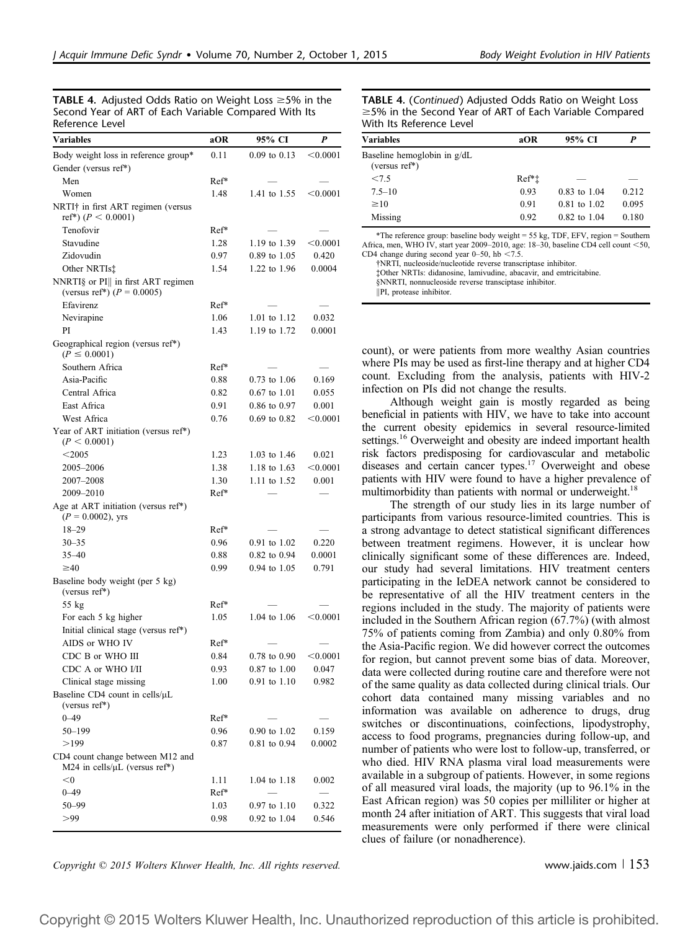**TABLE 4.** Adjusted Odds Ratio on Weight Loss  $\geq$ 5% in the Second Year of ART of Each Variable Compared With Its Reference Level

| Variables                                                               | aOR    | 95% CI                      | P        |
|-------------------------------------------------------------------------|--------|-----------------------------|----------|
| Body weight loss in reference group*                                    | 0.11   | $0.09$ to $0.13$            | < 0.0001 |
| Gender (versus ref*)                                                    |        |                             |          |
| Men                                                                     | $Ref*$ |                             |          |
| Women                                                                   | 1.48   | 1.41 to 1.55                | < 0.0001 |
| NRTI† in first ART regimen (versus<br>ref*) $(P < 0.0001)$              |        |                             |          |
| Tenofovir                                                               | $Ref*$ |                             |          |
| Stavudine                                                               | 1.28   | 1.19 to 1.39                | < 0.0001 |
| Zidovudin                                                               | 0.97   | 0.89 to 1.05                | 0.420    |
| Other NRTIs <sup>†</sup>                                                | 1.54   | 1.22 to 1.96                | 0.0004   |
| NNRTI§ or PI   in first ART regimen<br>(versus ref*) $(P = 0.0005)$     |        |                             |          |
| Efavirenz                                                               | Ref*   |                             |          |
| Nevirapine                                                              | 1.06   | 1.01 to 1.12                | 0.032    |
| PI                                                                      | 1.43   | 1.19 to 1.72                | 0.0001   |
| Geographical region (versus ref*)<br>$(P \le 0.0001)$                   |        |                             |          |
| Southern Africa                                                         | Ref*   |                             |          |
| Asia-Pacific                                                            | 0.88   | $0.73$ to $1.06$            | 0.169    |
| Central Africa                                                          | 0.82   | $0.67$ to $1.01$            | 0.055    |
| East Africa                                                             | 0.91   | $0.86$ to $0.97$            | 0.001    |
| West Africa                                                             | 0.76   | $0.69$ to $0.82$            | < 0.0001 |
| Year of ART initiation (versus ref*)<br>(P < 0.0001)                    |        |                             |          |
| $2005$                                                                  | 1.23   | 1.03 to 1.46                | 0.021    |
| 2005–2006                                                               | 1.38   | 1.18 to 1.63                | < 0.0001 |
| 2007-2008                                                               | 1.30   | 1.11 to 1.52                | 0.001    |
| 2009-2010                                                               | Ref*   |                             |          |
| Age at ART initiation (versus ref*)<br>$(P = 0.0002)$ , yrs             |        |                             |          |
| $18 - 29$                                                               | Ref*   |                             |          |
| $30 - 35$                                                               | 0.96   | $0.91$ to $1.02$            | 0.220    |
| $35 - 40$                                                               | 0.88   | 0.82 to 0.94                | 0.0001   |
| $\geq 40$<br>Baseline body weight (per 5 kg)                            | 0.99   | 0.94 to 1.05                | 0.791    |
| (versus ref*)                                                           |        |                             |          |
| 55 kg                                                                   | Ref*   |                             |          |
| For each 5 kg higher<br>Initial clinical stage (versus ref*)            | 1.05   | 1.04 to 1.06                | < 0.0001 |
| AIDS or WHO IV                                                          | Ref*   |                             |          |
| CDC B or WHO III                                                        | 0.84   | $0.78$ to $0.90 \le 0.0001$ |          |
| CDC A or WHO I/II                                                       | 0.93   | $0.87$ to $1.00$            | 0.047    |
| Clinical stage missing                                                  | 1.00   | 0.91 to 1.10                | 0.982    |
| Baseline CD4 count in cells/µL<br>(versus ref*)                         |        |                             |          |
| $0 - 49$                                                                | Ref*   |                             |          |
| $50 - 199$                                                              | 0.96   | 0.90 to 1.02                | 0.159    |
| >199                                                                    | 0.87   | 0.81 to 0.94                | 0.0002   |
| CD4 count change between M12 and<br>M24 in cells/ $\mu$ L (versus ref*) |        |                             |          |
| $<$ 0                                                                   | 1.11   | 1.04 to 1.18                | 0.002    |
| $0 - 49$                                                                | Ref*   |                             |          |
| 50-99                                                                   | 1.03   | 0.97 to 1.10                | 0.322    |
| >99                                                                     | 0.98   | 0.92 to 1.04                | 0.546    |

TABLE 4. (Continued) Adjusted Odds Ratio on Weight Loss  $\geq$  5% in the Second Year of ART of Each Variable Compared With Its Reference Level

| <b>Variables</b>                             | aOR                           | 95% CI           | P     |
|----------------------------------------------|-------------------------------|------------------|-------|
| Baseline hemoglobin in g/dL<br>(versus ref*) |                               |                  |       |
| <7.5                                         | Ref <sup>*</sup> <sup>†</sup> |                  |       |
| $7.5 - 10$                                   | 0.93                          | $0.83$ to $1.04$ | 0.212 |
| $\geq 10$                                    | 0.91                          | $0.81$ to $1.02$ | 0.095 |
| Missing                                      | 0.92                          | $0.82$ to $1.04$ | 0.180 |

\*The reference group: baseline body weight = 55 kg, TDF, EFV, region = Southern Africa, men, WHO IV, start year 2009–2010, age:  $18-30$ , baseline CD4 cell count <50, CD4 change during second year  $0-50$ , hb <7.5.

†NRTI, nucleoside/nucleotide reverse transcriptase inhibitor. ‡Other NRTIs: didanosine, lamivudine, abacavir, and emtricitabine. §NNRTI, nonnucleoside reverse transciptase inhibitor.  $\|$ PI, protease inhibitor.

count), or were patients from more wealthy Asian countries where PIs may be used as first-line therapy and at higher CD4 count. Excluding from the analysis, patients with HIV-2 infection on PIs did not change the results.

Although weight gain is mostly regarded as being beneficial in patients with HIV, we have to take into account the current obesity epidemics in several resource-limited settings.<sup>16</sup> Overweight and obesity are indeed important health risk factors predisposing for cardiovascular and metabolic diseases and certain cancer types.<sup>17</sup> Overweight and obese patients with HIV were found to have a higher prevalence of multimorbidity than patients with normal or underweight.<sup>18</sup>

The strength of our study lies in its large number of participants from various resource-limited countries. This is a strong advantage to detect statistical significant differences between treatment regimens. However, it is unclear how clinically significant some of these differences are. Indeed, our study had several limitations. HIV treatment centers participating in the IeDEA network cannot be considered to be representative of all the HIV treatment centers in the regions included in the study. The majority of patients were included in the Southern African region (67.7%) (with almost 75% of patients coming from Zambia) and only 0.80% from the Asia-Pacific region. We did however correct the outcomes for region, but cannot prevent some bias of data. Moreover, data were collected during routine care and therefore were not of the same quality as data collected during clinical trials. Our cohort data contained many missing variables and no information was available on adherence to drugs, drug switches or discontinuations, coinfections, lipodystrophy, access to food programs, pregnancies during follow-up, and number of patients who were lost to follow-up, transferred, or who died. HIV RNA plasma viral load measurements were available in a subgroup of patients. However, in some regions of all measured viral loads, the majority (up to 96.1% in the East African region) was 50 copies per milliliter or higher at month 24 after initiation of ART. This suggests that viral load measurements were only performed if there were clinical clues of failure (or nonadherence).

Copyright  $\odot$  2015 Wolters Kluwer Health, Inc. All rights reserved. www.jaids.com | 153